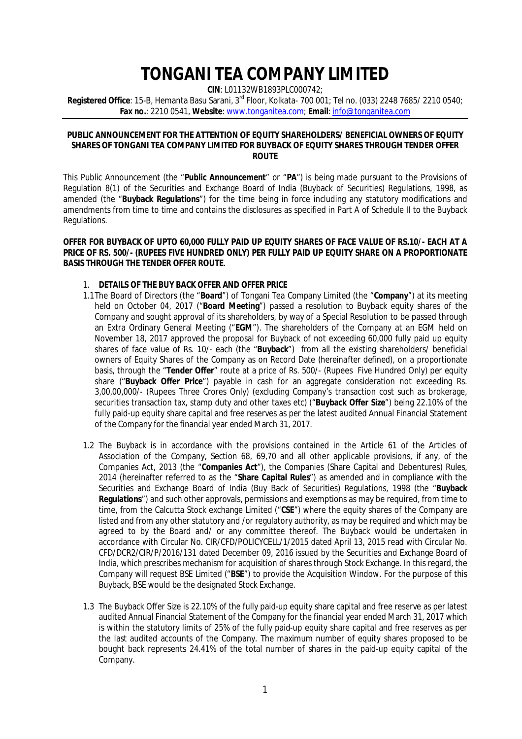# **TONGANI TEA COMPANY LIMITED**

**CIN**: L01132WB1893PLC000742;

**Registered Office**: 15-B, Hemanta Basu Sarani, 3rd Floor, Kolkata- 700 001; Tel no. (033) 2248 7685/ 2210 0540; **Fax no.**: 2210 0541, **Website**: www.tonganitea.com; **Email**: info@tonganitea.com

## **PUBLIC ANNOUNCEMENT FOR THE ATTENTION OF EQUITY SHAREHOLDERS/ BENEFICIAL OWNERS OF EQUITY SHARES OF TONGANI TEA COMPANY LIMITED FOR BUYBACK OF EQUITY SHARES THROUGH TENDER OFFER ROUTE**

This Public Announcement (the "**Public Announcement**" or "**PA**") is being made pursuant to the Provisions of Regulation 8(1) of the Securities and Exchange Board of India (Buyback of Securities) Regulations, 1998, as amended (the "**Buyback Regulations**") for the time being in force including any statutory modifications and amendments from time to time and contains the disclosures as specified in Part A of Schedule II to the Buyback Regulations.

# **OFFER FOR BUYBACK OF UPTO 60,000 FULLY PAID UP EQUITY SHARES OF FACE VALUE OF RS.10/- EACH AT A PRICE OF RS. 500/- (RUPEES FIVE HUNDRED ONLY) PER FULLY PAID UP EQUITY SHARE ON A PROPORTIONATE BASIS THROUGH THE TENDER OFFER ROUTE**.

# 1. **DETAILS OF THE BUY BACK OFFER AND OFFER PRICE**

- 1.1The Board of Directors (the "**Board**") of Tongani Tea Company Limited (the "**Company**") at its meeting held on October 04, 2017 ("**Board Meeting**") passed a resolution to Buyback equity shares of the Company and sought approval of its shareholders, by way of a Special Resolution to be passed through an Extra Ordinary General Meeting ("**EGM**"). The shareholders of the Company at an EGM held on November 18, 2017 approved the proposal for Buyback of not exceeding 60,000 fully paid up equity shares of face value of Rs. 10/- each (the "**Buyback**") from all the existing shareholders/ beneficial owners of Equity Shares of the Company as on Record Date (*hereinafter defined*), on a proportionate basis, through the "**Tender Offer**" route at a price of Rs. 500/- (Rupees Five Hundred Only) per equity share ("**Buyback Offer Price**") payable in cash for an aggregate consideration not exceeding Rs. 3,00,00,000/- (Rupees Three Crores Only) (excluding Company's transaction cost such as brokerage, securities transaction tax, stamp duty and other taxes etc) ("**Buyback Offer Size**") being 22.10% of the fully paid-up equity share capital and free reserves as per the latest audited Annual Financial Statement of the Company for the financial year ended March 31, 2017.
- 1.2 The Buyback is in accordance with the provisions contained in the Article 61 of the Articles of Association of the Company, Section 68, 69,70 and all other applicable provisions, if any, of the Companies Act, 2013 (the "**Companies Act**"), the Companies (Share Capital and Debentures) Rules, 2014 (hereinafter referred to as the "**Share Capital Rules**") as amended and in compliance with the Securities and Exchange Board of India (Buy Back of Securities) Regulations, 1998 (the "**Buyback Regulations**") and such other approvals, permissions and exemptions as may be required, from time to time, from the Calcutta Stock exchange Limited ("**CSE**") where the equity shares of the Company are listed and from any other statutory and /or regulatory authority, as may be required and which may be agreed to by the Board and/ or any committee thereof. The Buyback would be undertaken in accordance with Circular No. CIR/CFD/POLICYCELL/1/2015 dated April 13, 2015 read with Circular No. CFD/DCR2/CIR/P/2016/131 dated December 09, 2016 issued by the Securities and Exchange Board of India, which prescribes mechanism for acquisition of shares through Stock Exchange. In this regard, the Company will request BSE Limited ("**BSE**") to provide the Acquisition Window. For the purpose of this Buyback, BSE would be the designated Stock Exchange.
- 1.3 The Buyback Offer Size is 22.10% of the fully paid-up equity share capital and free reserve as per latest audited Annual Financial Statement of the Company for the financial year ended March 31, 2017 which is within the statutory limits of 25% of the fully paid-up equity share capital and free reserves as per the last audited accounts of the Company. The maximum number of equity shares proposed to be bought back represents 24.41% of the total number of shares in the paid-up equity capital of the Company.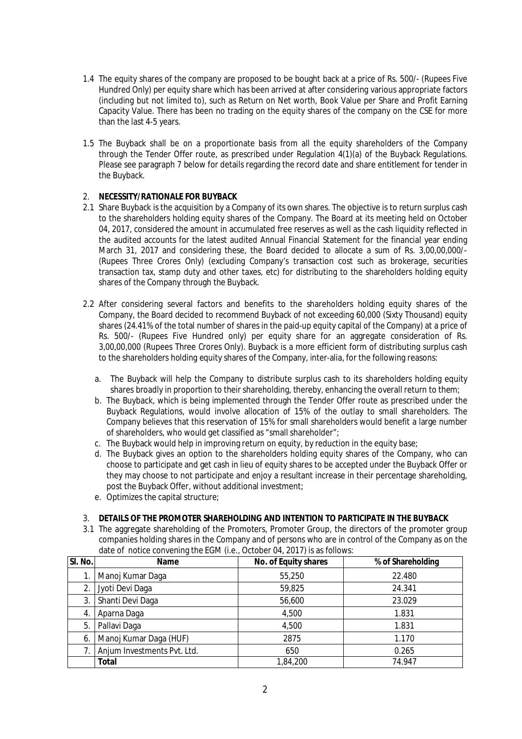- 1.4 The equity shares of the company are proposed to be bought back at a price of Rs. 500/- (Rupees Five Hundred Only) per equity share which has been arrived at after considering various appropriate factors (including but not limited to), such as Return on Net worth, Book Value per Share and Profit Earning Capacity Value. There has been no trading on the equity shares of the company on the CSE for more than the last 4-5 years.
- 1.5 The Buyback shall be on a proportionate basis from all the equity shareholders of the Company through the Tender Offer route, as prescribed under Regulation 4(1)(a) of the Buyback Regulations. Please see paragraph 7 below for details regarding the record date and share entitlement for tender in the Buyback.

# 2. **NECESSITY/RATIONALE FOR BUYBACK**

- 2.1 Share Buyback is the acquisition by a Company of its own shares. The objective is to return surplus cash to the shareholders holding equity shares of the Company. The Board at its meeting held on October 04, 2017, considered the amount in accumulated free reserves as well as the cash liquidity reflected in the audited accounts for the latest audited Annual Financial Statement for the financial year ending March 31, 2017 and considering these, the Board decided to allocate a sum of Rs. 3,00,00,000/-(Rupees Three Crores Only) (excluding Company's transaction cost such as brokerage, securities transaction tax, stamp duty and other taxes, etc) for distributing to the shareholders holding equity shares of the Company through the Buyback.
- 2.2 After considering several factors and benefits to the shareholders holding equity shares of the Company, the Board decided to recommend Buyback of not exceeding 60,000 (Sixty Thousand) equity shares (24.41% of the total number of shares in the paid-up equity capital of the Company) at a price of Rs. 500/- (Rupees Five Hundred only) per equity share for an aggregate consideration of Rs. 3,00,00,000 (Rupees Three Crores Only). Buyback is a more efficient form of distributing surplus cash to the shareholders holding equity shares of the Company, inter-alia, for the following reasons:
	- a. The Buyback will help the Company to distribute surplus cash to its shareholders holding equity shares broadly in proportion to their shareholding, thereby, enhancing the overall return to them;
	- b. The Buyback, which is being implemented through the Tender Offer route as prescribed under the Buyback Regulations, would involve allocation of 15% of the outlay to small shareholders. The Company believes that this reservation of 15% for small shareholders would benefit a large number of shareholders, who would get classified as "small shareholder";
	- c. The Buyback would help in improving return on equity, by reduction in the equity base;
	- d. The Buyback gives an option to the shareholders holding equity shares of the Company, who can choose to participate and get cash in lieu of equity shares to be accepted under the Buyback Offer or they may choose to not participate and enjoy a resultant increase in their percentage shareholding, post the Buyback Offer, without additional investment;
	- e. Optimizes the capital structure;

# 3. **DETAILS OF THE PROMOTER SHAREHOLDING AND INTENTION TO PARTICIPATE IN THE BUYBACK**

3.1 The aggregate shareholding of the Promoters, Promoter Group, the directors of the promoter group companies holding shares in the Company and of persons who are in control of the Company as on the date of notice convening the EGM (i.e., October 04, 2017) is as follows:

| SI. No. | <b>Name</b>                 | No. of Equity shares | % of Shareholding |
|---------|-----------------------------|----------------------|-------------------|
|         | Manoj Kumar Daga            | 55,250               | 22.480            |
|         | Jyoti Devi Daga             | 59,825               | 24.341            |
| 3.      | Shanti Devi Daga            | 56,600               | 23.029            |
| 4.      | Aparna Daga                 | 4,500                | 1.831             |
| 5.      | Pallavi Daga                | 4,500                | 1.831             |
| 6.      | Manoj Kumar Daga (HUF)      | 2875                 | 1.170             |
|         | Anjum Investments Pvt. Ltd. | 650                  | 0.265             |
|         | <b>Total</b>                | 1,84,200             | 74.947            |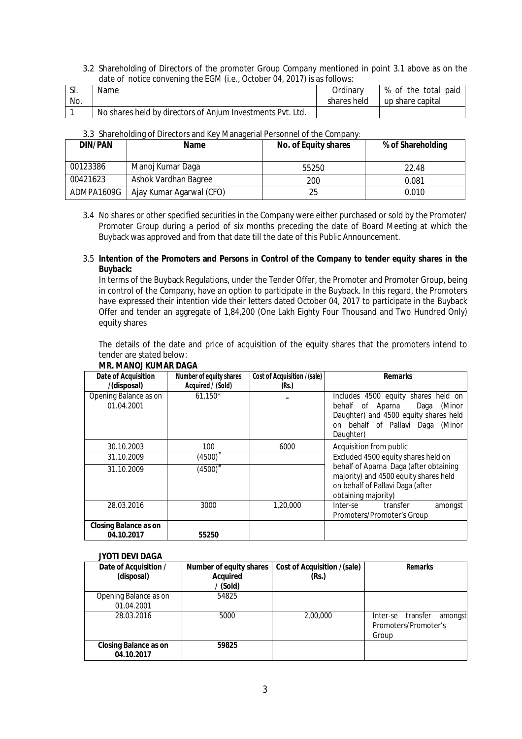3.2 Shareholding of Directors of the promoter Group Company mentioned in point 3.1 above as on the date of notice convening the EGM (i.e., October 04, 2017) is as follows:

| SI. | Name                                                       | Ordinarv    | % of the total paid |
|-----|------------------------------------------------------------|-------------|---------------------|
| No. |                                                            | shares held | up share capital    |
|     | No shares held by directors of Anjum Investments Pvt. Ltd. |             |                     |

|  | 3.3 Shareholding of Directors and Key Managerial Personnel of the Company: |
|--|----------------------------------------------------------------------------|
|  |                                                                            |

| <b>DIN/PAN</b> | <b>Name</b>              | No. of Equity shares | % of Shareholding |
|----------------|--------------------------|----------------------|-------------------|
| 00123386       | Manoj Kumar Daga         | 55250                | 22.48             |
| 00421623       | Ashok Vardhan Bagree     | 200                  | 0.081             |
| ADMPA1609G     | Ajay Kumar Agarwal (CFO) | 25                   | 0.010             |

3.4 No shares or other specified securities in the Company were either purchased or sold by the Promoter/ Promoter Group during a period of six months preceding the date of Board Meeting at which the Buyback was approved and from that date till the date of this Public Announcement.

# 3.5 **Intention of the Promoters and Persons in Control of the Company to tender equity shares in the Buyback:**

 In terms of the Buyback Regulations, under the Tender Offer, the Promoter and Promoter Group, being in control of the Company, have an option to participate in the Buyback. In this regard, the Promoters have expressed their intention vide their letters dated October 04, 2017 to participate in the Buyback Offer and tender an aggregate of 1,84,200 (One Lakh Eighty Four Thousand and Two Hundred Only) equity shares

The details of the date and price of acquisition of the equity shares that the promoters intend to tender are stated below:

| Date of Acquisition                        | Number of equity shares         | Cost of Acquisition /(sale) | <b>Remarks</b>                                                                                                                                                      |
|--------------------------------------------|---------------------------------|-----------------------------|---------------------------------------------------------------------------------------------------------------------------------------------------------------------|
| /(disposal)                                | Acquired / (Sold)               | (Rs.)                       |                                                                                                                                                                     |
| Opening Balance as on<br>01.04.2001        | $61.150*$                       |                             | Includes 4500 equity shares held on<br>behalf of Aparna<br>Daga<br>(Minor<br>Daughter) and 4500 equity shares held<br>on behalf of Pallavi Daga (Minor<br>Daughter) |
| 30.10.2003                                 | 100                             | 6000                        | Acquisition from public                                                                                                                                             |
| 31.10.2009                                 | $(4500)^{\scriptscriptstyle\#}$ |                             | Excluded 4500 equity shares held on                                                                                                                                 |
| 31.10.2009                                 | $(4500)^{\#}$                   |                             | behalf of Aparna Daga (after obtaining<br>majority) and 4500 equity shares held<br>on behalf of Pallavi Daga (after<br>obtaining majority)                          |
| 28.03.2016                                 | 3000                            | 1,20,000                    | transfer<br>Inter-se<br>amongst<br>Promoters/Promoter's Group                                                                                                       |
| <b>Closing Balance as on</b><br>04.10.2017 | 55250                           |                             |                                                                                                                                                                     |

# **MR. MANOJ KUMAR DAGA**

#### **JYOTI DEVI DAGA**

| Date of Acquisition /<br>(disposal)        | <b>Number of equity shares</b><br><b>Acquired</b><br>/ (Sold) | Cost of Acquisition /(sale)<br>(Rs.) | Remarks                                                          |
|--------------------------------------------|---------------------------------------------------------------|--------------------------------------|------------------------------------------------------------------|
| Opening Balance as on                      | 54825                                                         |                                      |                                                                  |
| 01.04.2001                                 |                                                               |                                      |                                                                  |
| 28.03.2016                                 | 5000                                                          | 2,00,000                             | transfer<br>Inter-se<br>amongst<br>Promoters/Promoter's<br>Group |
| <b>Closing Balance as on</b><br>04.10.2017 | 59825                                                         |                                      |                                                                  |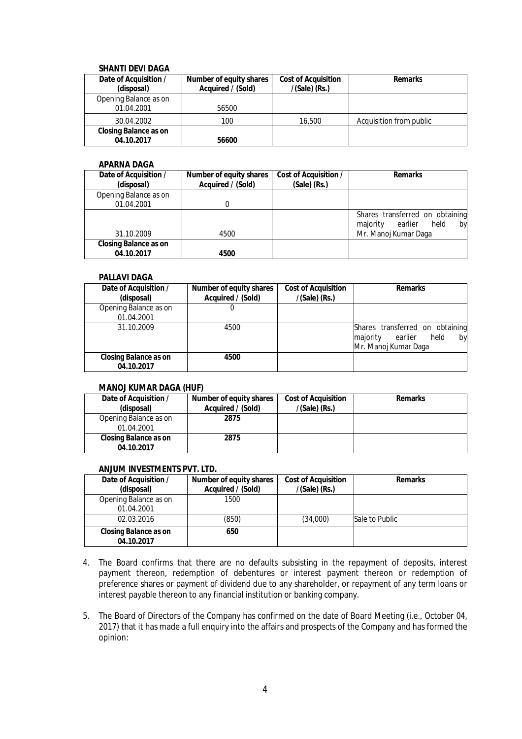# **SHANTI DEVI DAGA**

| Date of Acquisition /<br>(disposal)        | Number of equity shares<br>Acquired / (Sold) | <b>Cost of Acquisition</b><br>$/(Sale)$ (Rs.) | <b>Remarks</b>          |
|--------------------------------------------|----------------------------------------------|-----------------------------------------------|-------------------------|
| Opening Balance as on<br>01.04.2001        | 56500                                        |                                               |                         |
| 30.04.2002                                 | 100                                          | 16,500                                        | Acquisition from public |
| <b>Closing Balance as on</b><br>04.10.2017 | 56600                                        |                                               |                         |

# **APARNA DAGA**

| Date of Acquisition /<br>(disposal)        | <b>Number of equity shares</b><br>Acquired / (Sold) | <b>Cost of Acquisition /</b><br>$(Sale)$ (Rs.) | <b>Remarks</b>                                                       |
|--------------------------------------------|-----------------------------------------------------|------------------------------------------------|----------------------------------------------------------------------|
| Opening Balance as on                      |                                                     |                                                |                                                                      |
| 01.04.2001                                 |                                                     |                                                |                                                                      |
|                                            |                                                     |                                                | Shares transferred on obtaining<br>earlier<br>held<br>majority<br>by |
| 31.10.2009                                 | 4500                                                |                                                | Mr. Manoj Kumar Daga                                                 |
| <b>Closing Balance as on</b><br>04.10.2017 | 4500                                                |                                                |                                                                      |

#### **PALLAVI DAGA**

| Date of Acquisition /                      | <b>Number of equity shares</b> | <b>Cost of Acquisition</b> | <b>Remarks</b>                                                                               |
|--------------------------------------------|--------------------------------|----------------------------|----------------------------------------------------------------------------------------------|
| (disposal)                                 | Acquired / (Sold)              | $/(Sale)$ (Rs.)            |                                                                                              |
| Opening Balance as on                      |                                |                            |                                                                                              |
| 01.04.2001                                 |                                |                            |                                                                                              |
| 31.10.2009                                 | 4500                           |                            | Shares transferred on obtaining<br>majority<br>held<br>earlier<br>by<br>Mr. Manoj Kumar Daga |
| <b>Closing Balance as on</b><br>04.10.2017 | 4500                           |                            |                                                                                              |

# **MANOJ KUMAR DAGA (HUF)**

| Date of Acquisition /<br>(disposal)        | Number of equity shares<br>Acquired / (Sold) | <b>Cost of Acquisition</b><br>$/(Sale)$ (Rs.) | <b>Remarks</b> |
|--------------------------------------------|----------------------------------------------|-----------------------------------------------|----------------|
| Opening Balance as on<br>01.04.2001        | 2875                                         |                                               |                |
| <b>Closing Balance as on</b><br>04.10.2017 | 2875                                         |                                               |                |

# **ANJUM INVESTMENTS PVT. LTD.**

| Date of Acquisition /<br>(disposal)        | Number of equity shares<br>Acquired / (Sold) | <b>Cost of Acquisition</b><br>$/(Sale)$ (Rs.) | <b>Remarks</b> |
|--------------------------------------------|----------------------------------------------|-----------------------------------------------|----------------|
| Opening Balance as on<br>01.04.2001        | 1500                                         |                                               |                |
| 02.03.2016                                 | (850)                                        | (34,000)                                      | Sale to Public |
| <b>Closing Balance as on</b><br>04.10.2017 | 650                                          |                                               |                |

- 4. The Board confirms that there are no defaults subsisting in the repayment of deposits, interest payment thereon, redemption of debentures or interest payment thereon or redemption of preference shares or payment of dividend due to any shareholder, or repayment of any term loans or interest payable thereon to any financial institution or banking company.
- 5. The Board of Directors of the Company has confirmed on the date of Board Meeting (i.e., October 04, 2017) that it has made a full enquiry into the affairs and prospects of the Company and has formed the opinion: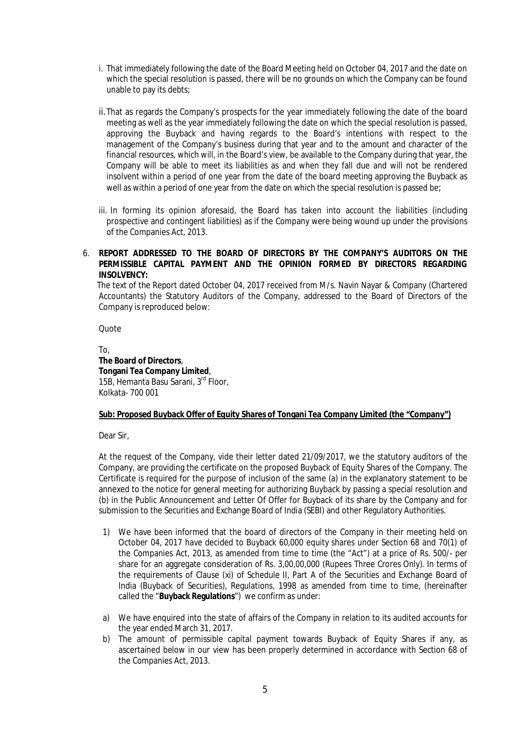- i. That immediately following the date of the Board Meeting held on October 04, 2017 and the date on which the special resolution is passed, there will be no grounds on which the Company can be found unable to pay its debts;
- ii.That as regards the Company's prospects for the year immediately following the date of the board meeting as well as the year immediately following the date on which the special resolution is passed, approving the Buyback and having regards to the Board's intentions with respect to the management of the Company's business during that year and to the amount and character of the financial resources, which will, in the Board's view, be available to the Company during that year, the Company will be able to meet its liabilities as and when they fall due and will not be rendered insolvent within a period of one year from the date of the board meeting approving the Buyback as well as within a period of one year from the date on which the special resolution is passed be;
- iii. In forming its opinion aforesaid, the Board has taken into account the liabilities (including prospective and contingent liabilities) as if the Company were being wound up under the provisions of the Companies Act, 2013.

# 6. **REPORT ADDRESSED TO THE BOARD OF DIRECTORS BY THE COMPANY'S AUDITORS ON THE PERMISSIBLE CAPITAL PAYMENT AND THE OPINION FORMED BY DIRECTORS REGARDING INSOLVENCY:**

 The text of the Report dated October 04, 2017 received from M/s. Navin Nayar & Company (Chartered Accountants) the Statutory Auditors of the Company, addressed to the Board of Directors of the Company is reproduced below:

**Quote** 

To, **The Board of Directors**, **Tongani Tea Company Limited**, 15B, Hemanta Basu Sarani, 3<sup>rd</sup> Floor, Kolkata- 700 001

# **Sub: Proposed Buyback Offer of Equity Shares of Tongani Tea Company Limited (the "Company")**

Dear Sir,

At the request of the Company, vide their letter dated 21/09/2017, we the statutory auditors of the Company, are providing the certificate on the proposed Buyback of Equity Shares of the Company. The Certificate is required for the purpose of inclusion of the same (a) in the explanatory statement to be annexed to the notice for general meeting for authorizing Buyback by passing a special resolution and (b) in the Public Announcement and Letter Of Offer for Buyback of its share by the Company and for submission to the Securities and Exchange Board of India (SEBI) and other Regulatory Authorities.

- 1) We have been informed that the board of directors of the Company in their meeting held on October 04, 2017 have decided to Buyback 60,000 equity shares under Section 68 and 70(1) of the Companies Act, 2013, as amended from time to time (the "Act") at a price of Rs. 500/- per share for an aggregate consideration of Rs. 3,00,00,000 (Rupees Three Crores Only). In terms of the requirements of Clause (xi) of Schedule II, Part A of the Securities and Exchange Board of India (Buyback of Securities), Regulations, 1998 as amended from time to time, (hereinafter called the "**Buyback Regulations**") we confirm as under:
- a) We have enquired into the state of affairs of the Company in relation to its audited accounts for the year ended March 31, 2017.
- b) The amount of permissible capital payment towards Buyback of Equity Shares if any, as ascertained below in our view has been properly determined in accordance with Section 68 of the Companies Act, 2013.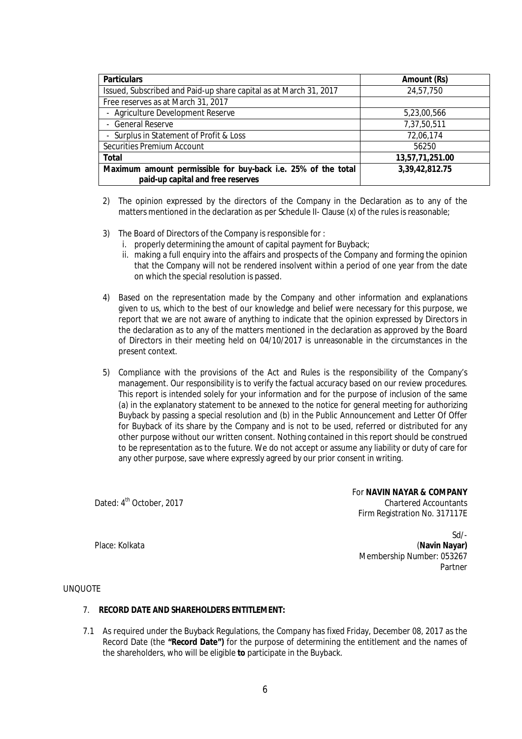| <b>Particulars</b>                                                                                 | <b>Amount (Rs)</b> |
|----------------------------------------------------------------------------------------------------|--------------------|
| Issued, Subscribed and Paid-up share capital as at March 31, 2017                                  | 24,57,750          |
| Free reserves as at March 31, 2017                                                                 |                    |
| - Agriculture Development Reserve                                                                  | 5,23,00,566        |
| - General Reserve                                                                                  | 7,37,50,511        |
| - Surplus in Statement of Profit & Loss                                                            | 72,06,174          |
| Securities Premium Account                                                                         | 56250              |
| <b>Total</b>                                                                                       | 13,57,71,251.00    |
| Maximum amount permissible for buy-back i.e. 25% of the total<br>paid-up capital and free reserves | 3,39,42,812.75     |

- 2) The opinion expressed by the directors of the Company in the Declaration as to any of the matters mentioned in the declaration as per Schedule II- Clause (x) of the rules is reasonable;
- 3) The Board of Directors of the Company is responsible for :
	- i. properly determining the amount of capital payment for Buyback;
	- ii. making a full enquiry into the affairs and prospects of the Company and forming the opinion that the Company will not be rendered insolvent within a period of one year from the date on which the special resolution is passed.
- 4) Based on the representation made by the Company and other information and explanations given to us, which to the best of our knowledge and belief were necessary for this purpose, we report that we are not aware of anything to indicate that the opinion expressed by Directors in the declaration as to any of the matters mentioned in the declaration as approved by the Board of Directors in their meeting held on 04/10/2017 is unreasonable in the circumstances in the present context.
- 5) Compliance with the provisions of the Act and Rules is the responsibility of the Company's management. Our responsibility is to verify the factual accuracy based on our review procedures. This report is intended solely for your information and for the purpose of inclusion of the same (a) in the explanatory statement to be annexed to the notice for general meeting for authorizing Buyback by passing a special resolution and (b) in the Public Announcement and Letter Of Offer for Buyback of its share by the Company and is not to be used, referred or distributed for any other purpose without our written consent. Nothing contained in this report should be construed to be representation as to the future. We do not accept or assume any liability or duty of care for any other purpose, save where expressly agreed by our prior consent in writing.

Dated: 4<sup>th</sup> October, 2017

For **NAVIN NAYAR & COMPANY** Chartered Accountants Firm Registration No. 317117E

Sd/- (**Navin Nayar)** Membership Number: 053267 Partner

Place: Kolkata

#### UNQUOTE

#### 7. **RECORD DATE AND SHAREHOLDERS ENTITLEMENT:**

7.1 As required under the Buyback Regulations, the Company has fixed Friday, December 08, 2017 as the Record Date (the **"Record Date")** for the purpose of determining the entitlement and the names of the shareholders, who will be eligible **to** participate in the Buyback.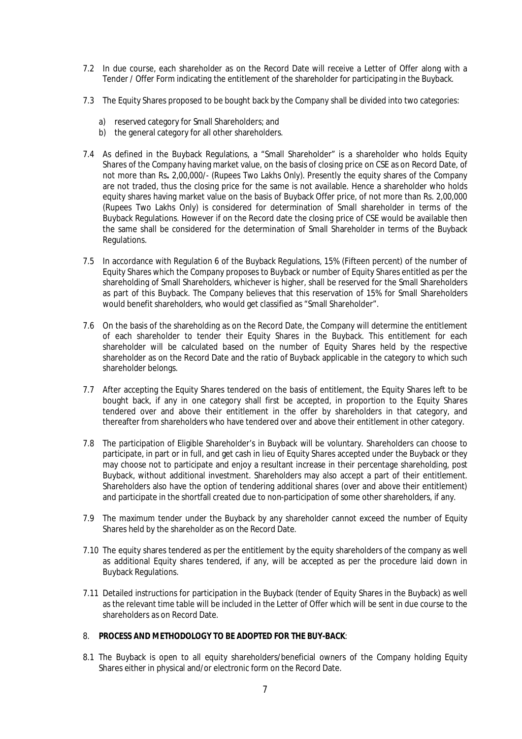- 7.2 In due course, each shareholder as on the Record Date will receive a Letter of Offer along with a Tender / Offer Form indicating the entitlement of the shareholder for participating in the Buyback.
- 7.3 The Equity Shares proposed to be bought back by the Company shall be divided into two categories:
	- a) reserved category for Small Shareholders; and
	- b) the general category for all other shareholders.
- 7.4 As defined in the Buyback Regulations, a "Small Shareholder" is a shareholder who holds Equity Shares of the Company having market value, on the basis of closing price on CSE as on Record Date, of not more than Rs**.** 2,00,000/- (Rupees Two Lakhs Only). Presently the equity shares of the Company are not traded, thus the closing price for the same is not available. Hence a shareholder who holds equity shares having market value on the basis of Buyback Offer price, of not more than Rs. 2,00,000 (Rupees Two Lakhs Only) is considered for determination of Small shareholder in terms of the Buyback Regulations. However if on the Record date the closing price of CSE would be available then the same shall be considered for the determination of Small Shareholder in terms of the Buyback Regulations.
- 7.5 In accordance with Regulation 6 of the Buyback Regulations, 15% (Fifteen percent) of the number of Equity Shares which the Company proposes to Buyback or number of Equity Shares entitled as per the shareholding of Small Shareholders, whichever is higher, shall be reserved for the Small Shareholders as part of this Buyback. The Company believes that this reservation of 15% for Small Shareholders would benefit shareholders, who would get classified as "Small Shareholder".
- 7.6 On the basis of the shareholding as on the Record Date, the Company will determine the entitlement of each shareholder to tender their Equity Shares in the Buyback. This entitlement for each shareholder will be calculated based on the number of Equity Shares held by the respective shareholder as on the Record Date and the ratio of Buyback applicable in the category to which such shareholder belongs.
- 7.7 After accepting the Equity Shares tendered on the basis of entitlement, the Equity Shares left to be bought back, if any in one category shall first be accepted, in proportion to the Equity Shares tendered over and above their entitlement in the offer by shareholders in that category, and thereafter from shareholders who have tendered over and above their entitlement in other category.
- 7.8 The participation of Eligible Shareholder's in Buyback will be voluntary. Shareholders can choose to participate, in part or in full, and get cash in lieu of Equity Shares accepted under the Buyback or they may choose not to participate and enjoy a resultant increase in their percentage shareholding, post Buyback, without additional investment. Shareholders may also accept a part of their entitlement. Shareholders also have the option of tendering additional shares (over and above their entitlement) and participate in the shortfall created due to non-participation of some other shareholders, if any.
- 7.9 The maximum tender under the Buyback by any shareholder cannot exceed the number of Equity Shares held by the shareholder as on the Record Date.
- 7.10 The equity shares tendered as per the entitlement by the equity shareholders of the company as well as additional Equity shares tendered, if any, will be accepted as per the procedure laid down in Buyback Regulations.
- 7.11 Detailed instructions for participation in the Buyback (tender of Equity Shares in the Buyback) as well as the relevant time table will be included in the Letter of Offer which will be sent in due course to the shareholders as on Record Date.

#### 8. **PROCESS AND METHODOLOGY TO BE ADOPTED FOR THE BUY-BACK**:

8.1 The Buyback is open to all equity shareholders/beneficial owners of the Company holding Equity Shares either in physical and/or electronic form on the Record Date.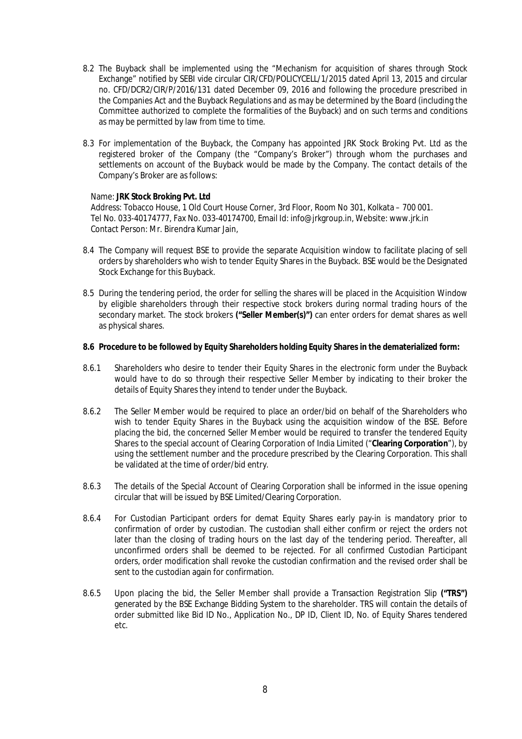- 8.2 The Buyback shall be implemented using the "Mechanism for acquisition of shares through Stock Exchange" notified by SEBI vide circular CIR/CFD/POLICYCELL/1/2015 dated April 13, 2015 and circular no. CFD/DCR2/CIR/P/2016/131 dated December 09, 2016 and following the procedure prescribed in the Companies Act and the Buyback Regulations and as may be determined by the Board (including the Committee authorized to complete the formalities of the Buyback) and on such terms and conditions as may be permitted by law from time to time.
- 8.3 For implementation of the Buyback, the Company has appointed JRK Stock Broking Pvt. Ltd as the registered broker of the Company (the "Company's Broker") through whom the purchases and settlements on account of the Buyback would be made by the Company. The contact details of the Company's Broker are as follows:

#### Name: **JRK Stock Broking Pvt. Ltd**

Address: Tobacco House, 1 Old Court House Corner, 3rd Floor, Room No 301, Kolkata – 700 001. Tel No. 033-40174777, Fax No. 033-40174700, Email Id: info@jrkgroup.in, Website: www.jrk.in Contact Person: Mr. Birendra Kumar Jain,

- 8.4 The Company will request BSE to provide the separate Acquisition window to facilitate placing of sell orders by shareholders who wish to tender Equity Shares in the Buyback. BSE would be the Designated Stock Exchange for this Buyback.
- 8.5 During the tendering period, the order for selling the shares will be placed in the Acquisition Window by eligible shareholders through their respective stock brokers during normal trading hours of the secondary market. The stock brokers **("Seller Member(s)")** can enter orders for demat shares as well as physical shares.

#### **8.6 Procedure to be followed by Equity Shareholders holding Equity Shares in the dematerialized form:**

- 8.6.1 Shareholders who desire to tender their Equity Shares in the electronic form under the Buyback would have to do so through their respective Seller Member by indicating to their broker the details of Equity Shares they intend to tender under the Buyback.
- 8.6.2 The Seller Member would be required to place an order/bid on behalf of the Shareholders who wish to tender Equity Shares in the Buyback using the acquisition window of the BSE. Before placing the bid, the concerned Seller Member would be required to transfer the tendered Equity Shares to the special account of Clearing Corporation of India Limited ("**Clearing Corporation**"), by using the settlement number and the procedure prescribed by the Clearing Corporation. This shall be validated at the time of order/bid entry.
- 8.6.3 The details of the Special Account of Clearing Corporation shall be informed in the issue opening circular that will be issued by BSE Limited/Clearing Corporation.
- 8.6.4 For Custodian Participant orders for demat Equity Shares early pay-in is mandatory prior to confirmation of order by custodian. The custodian shall either confirm or reject the orders not later than the closing of trading hours on the last day of the tendering period. Thereafter, all unconfirmed orders shall be deemed to be rejected. For all confirmed Custodian Participant orders, order modification shall revoke the custodian confirmation and the revised order shall be sent to the custodian again for confirmation.
- 8.6.5 Upon placing the bid, the Seller Member shall provide a Transaction Registration Slip **("TRS")**  generated by the BSE Exchange Bidding System to the shareholder. TRS will contain the details of order submitted like Bid ID No., Application No., DP ID, Client ID, No. of Equity Shares tendered etc.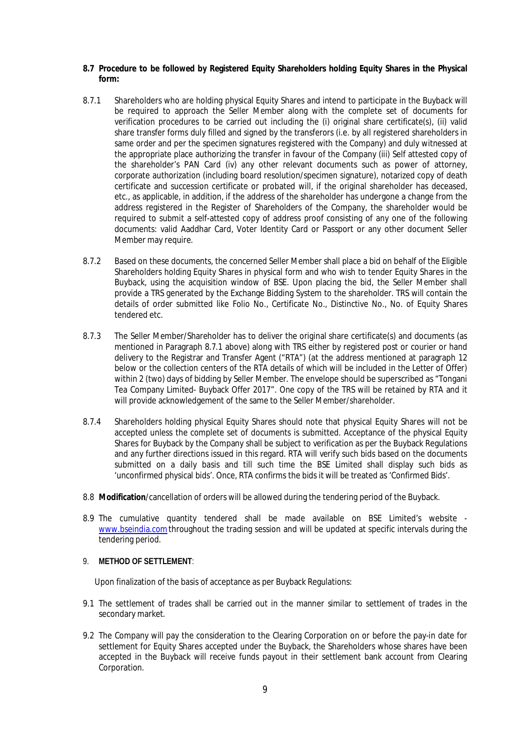#### **8.7 Procedure to be followed by Registered Equity Shareholders holding Equity Shares in the Physical form:**

- 8.7.1 Shareholders who are holding physical Equity Shares and intend to participate in the Buyback will be required to approach the Seller Member along with the complete set of documents for verification procedures to be carried out including the (i) original share certificate(s), (ii) valid share transfer forms duly filled and signed by the transferors (i.e. by all registered shareholders in same order and per the specimen signatures registered with the Company) and duly witnessed at the appropriate place authorizing the transfer in favour of the Company (iii) Self attested copy of the shareholder's PAN Card (iv) any other relevant documents such as power of attorney, corporate authorization (including board resolution/specimen signature), notarized copy of death certificate and succession certificate or probated will, if the original shareholder has deceased, etc., as applicable, in addition, if the address of the shareholder has undergone a change from the address registered in the Register of Shareholders of the Company, the shareholder would be required to submit a self-attested copy of address proof consisting of any one of the following documents: valid Aaddhar Card, Voter Identity Card or Passport or any other document Seller Member may require.
- 8.7.2 Based on these documents, the concerned Seller Member shall place a bid on behalf of the Eligible Shareholders holding Equity Shares in physical form and who wish to tender Equity Shares in the Buyback, using the acquisition window of BSE. Upon placing the bid, the Seller Member shall provide a TRS generated by the Exchange Bidding System to the shareholder. TRS will contain the details of order submitted like Folio No., Certificate No., Distinctive No., No. of Equity Shares tendered etc.
- 8.7.3 The Seller Member/Shareholder has to deliver the original share certificate(s) and documents (as mentioned in Paragraph 8.7.1 above) along with TRS either by registered post or courier or hand delivery to the Registrar and Transfer Agent ("RTA") (at the address mentioned at paragraph 12 below or the collection centers of the RTA details of which will be included in the Letter of Offer) within 2 (two) days of bidding by Seller Member. The envelope should be superscribed as "Tongani Tea Company Limited- Buyback Offer 2017". One copy of the TRS will be retained by RTA and it will provide acknowledgement of the same to the Seller Member/shareholder.
- 8.7.4 Shareholders holding physical Equity Shares should note that physical Equity Shares will not be accepted unless the complete set of documents is submitted. Acceptance of the physical Equity Shares for Buyback by the Company shall be subject to verification as per the Buyback Regulations and any further directions issued in this regard. RTA will verify such bids based on the documents submitted on a daily basis and till such time the BSE Limited shall display such bids as 'unconfirmed physical bids'. Once, RTA confirms the bids it will be treated as 'Confirmed Bids'.
- 8.8 **Modification**/cancellation of orders will be allowed during the tendering period of the Buyback.
- 8.9 The cumulative quantity tendered shall be made available on BSE Limited's website www.bseindia.comthroughout the trading session and will be updated at specific intervals during the tendering period.

# 9. **METHOD OF SETTLEMENT**:

Upon finalization of the basis of acceptance as per Buyback Regulations:

- 9.1 The settlement of trades shall be carried out in the manner similar to settlement of trades in the secondary market.
- 9.2 The Company will pay the consideration to the Clearing Corporation on or before the pay-in date for settlement for Equity Shares accepted under the Buyback, the Shareholders whose shares have been accepted in the Buyback will receive funds payout in their settlement bank account from Clearing Corporation.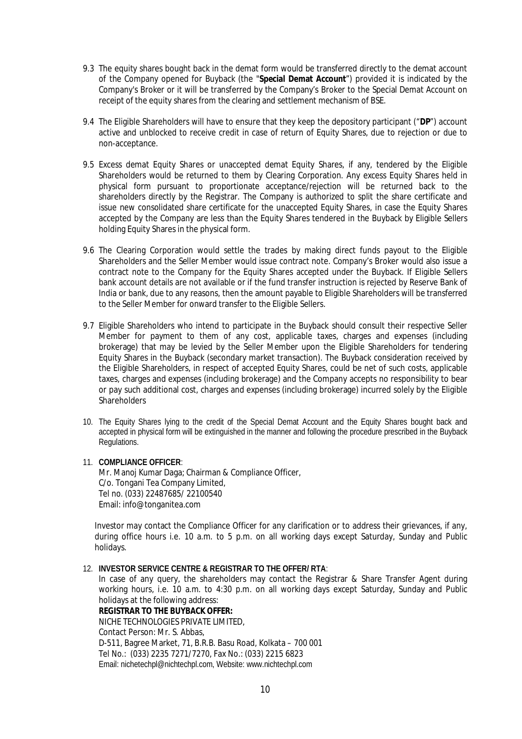- 9.3 The equity shares bought back in the demat form would be transferred directly to the demat account of the Company opened for Buyback (the "**Special Demat Account**") provided it is indicated by the Company's Broker or it will be transferred by the Company's Broker to the Special Demat Account on receipt of the equity shares from the clearing and settlement mechanism of BSE.
- 9.4 The Eligible Shareholders will have to ensure that they keep the depository participant ("**DP**") account active and unblocked to receive credit in case of return of Equity Shares, due to rejection or due to non-acceptance.
- 9.5 Excess demat Equity Shares or unaccepted demat Equity Shares, if any, tendered by the Eligible Shareholders would be returned to them by Clearing Corporation. Any excess Equity Shares held in physical form pursuant to proportionate acceptance/rejection will be returned back to the shareholders directly by the Registrar. The Company is authorized to split the share certificate and issue new consolidated share certificate for the unaccepted Equity Shares, in case the Equity Shares accepted by the Company are less than the Equity Shares tendered in the Buyback by Eligible Sellers holding Equity Shares in the physical form.
- 9.6 The Clearing Corporation would settle the trades by making direct funds payout to the Eligible Shareholders and the Seller Member would issue contract note. Company's Broker would also issue a contract note to the Company for the Equity Shares accepted under the Buyback. If Eligible Sellers bank account details are not available or if the fund transfer instruction is rejected by Reserve Bank of India or bank, due to any reasons, then the amount payable to Eligible Shareholders will be transferred to the Seller Member for onward transfer to the Eligible Sellers.
- 9.7 Eligible Shareholders who intend to participate in the Buyback should consult their respective Seller Member for payment to them of any cost, applicable taxes, charges and expenses (including brokerage) that may be levied by the Seller Member upon the Eligible Shareholders for tendering Equity Shares in the Buyback (secondary market transaction). The Buyback consideration received by the Eligible Shareholders, in respect of accepted Equity Shares, could be net of such costs, applicable taxes, charges and expenses (including brokerage) and the Company accepts no responsibility to bear or pay such additional cost, charges and expenses (including brokerage) incurred solely by the Eligible **Shareholders**
- 10. The Equity Shares lying to the credit of the Special Demat Account and the Equity Shares bought back and accepted in physical form will be extinguished in the manner and following the procedure prescribed in the Buyback Regulations.

#### 11. **COMPLIANCE OFFICER**:

Mr. Manoj Kumar Daga; Chairman & Compliance Officer, C/o. Tongani Tea Company Limited, Tel no. (033) 22487685/ 22100540 Email: info@tonganitea.com

Investor may contact the Compliance Officer for any clarification or to address their grievances, if any, during office hours i.e. 10 a.m. to 5 p.m. on all working days except Saturday, Sunday and Public holidays.

#### 12. **INVESTOR SERVICE CENTRE & REGISTRAR TO THE OFFER/ RTA**:

In case of any query, the shareholders may contact the Registrar & Share Transfer Agent during working hours, i.e. 10 a.m. to 4:30 p.m. on all working days except Saturday, Sunday and Public holidays at the following address:

**REGISTRAR TO THE BUYBACK OFFER:** NICHE TECHNOLOGIES PRIVATE LIMITED, Contact Person: Mr. S. Abbas, D-511, Bagree Market, 71, B.R.B. Basu Road, Kolkata – 700 001 Tel No.: (033) 2235 7271/7270, Fax No.: (033) 2215 6823 Email: nichetechpl@nichtechpl.com, Website: www.nichtechpl.com